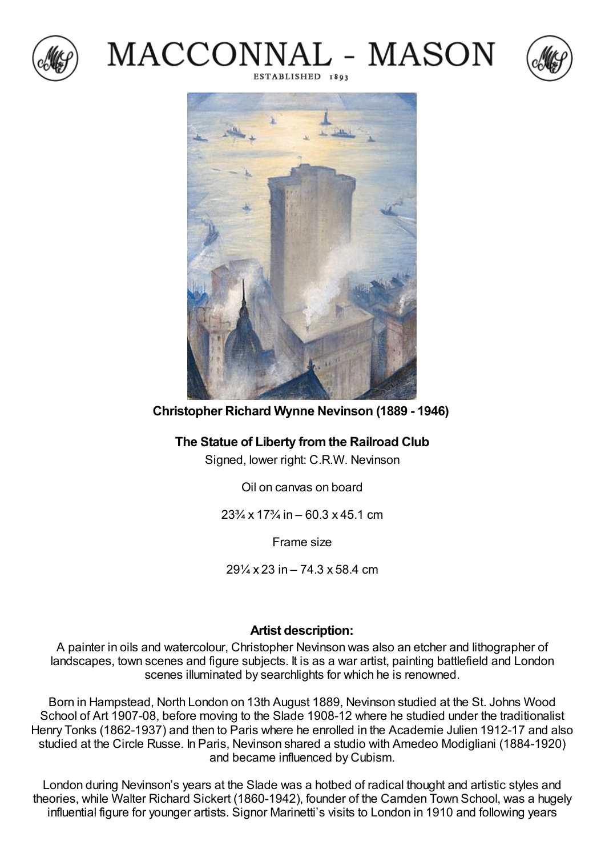







**Christopher Richard Wynne Nevinson (1889 - 1946)**

## **The Statue of Liberty fromthe Railroad Club**

Signed, lower right: C.R.W. Nevinson

Oil on canvas on board

 $23\frac{3}{4}$  x  $17\frac{3}{4}$  in – 60.3 x 45.1 cm

Frame size

29¼ x 23 in – 74.3 x 58.4 cm

## **Artist description:**

A painter in oils and watercolour, Christopher Nevinson was also an etcher and lithographer of landscapes, town scenes and figure subjects. It is as a war artist, painting battlefield and London scenes illuminated by searchlights for which he is renowned.

Born in Hampstead, North London on 13th August 1889, Nevinson studied at the St. Johns Wood School of Art 1907-08, before moving to the Slade 1908-12 where he studied under the traditionalist Henry Tonks (1862-1937) and then to Paris where he enrolled in the Academie Julien 1912-17 and also studied at the Circle Russe. In Paris, Nevinson shared a studio with Amedeo Modigliani (1884-1920) and became influenced by Cubism.

London during Nevinson's years at the Slade was a hotbed of radical thought and artistic styles and theories, while Walter Richard Sickert (1860-1942), founder of the Camden Town School, was a hugely influential figure for younger artists. Signor Marinetti's visits to London in 1910 and following years